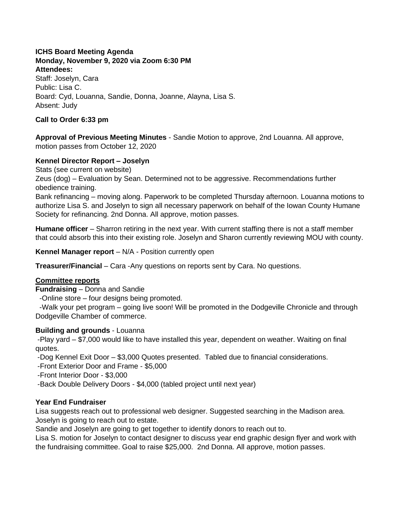#### **ICHS Board Meeting Agenda Monday, November 9, 2020 via Zoom 6:30 PM Attendees:**

Staff: Joselyn, Cara Public: Lisa C. Board: Cyd, Louanna, Sandie, Donna, Joanne, Alayna, Lisa S. Absent: Judy

## **Call to Order 6:33 pm**

**Approval of Previous Meeting Minutes** - Sandie Motion to approve, 2nd Louanna. All approve, motion passes from October 12, 2020

# **Kennel Director Report – Joselyn**

Stats (see current on website)

Zeus (dog) – Evaluation by Sean. Determined not to be aggressive. Recommendations further obedience training.

Bank refinancing – moving along. Paperwork to be completed Thursday afternoon. Louanna motions to authorize Lisa S. and Joselyn to sign all necessary paperwork on behalf of the Iowan County Humane Society for refinancing. 2nd Donna. All approve, motion passes.

**Humane officer** – Sharron retiring in the next year. With current staffing there is not a staff member that could absorb this into their existing role. Joselyn and Sharon currently reviewing MOU with county.

**Kennel Manager report** – N/A - Position currently open

**Treasurer/Financial** – Cara -Any questions on reports sent by Cara. No questions.

### **Committee reports**

**Fundraising** – Donna and Sandie

-Online store – four designs being promoted.

 -Walk your pet program – going live soon! Will be promoted in the Dodgeville Chronicle and through Dodgeville Chamber of commerce.

### **Building and grounds** - Louanna

-Play yard – \$7,000 would like to have installed this year, dependent on weather. Waiting on final quotes.

-Dog Kennel Exit Door – \$3,000 Quotes presented. Tabled due to financial considerations.

-Front Exterior Door and Frame - \$5,000

-Front Interior Door - \$3,000

-Back Double Delivery Doors - \$4,000 (tabled project until next year)

### **Year End Fundraiser**

Lisa suggests reach out to professional web designer. Suggested searching in the Madison area. Joselyn is going to reach out to estate.

Sandie and Joselyn are going to get together to identify donors to reach out to.

Lisa S. motion for Joselyn to contact designer to discuss year end graphic design flyer and work with the fundraising committee. Goal to raise \$25,000. 2nd Donna. All approve, motion passes.